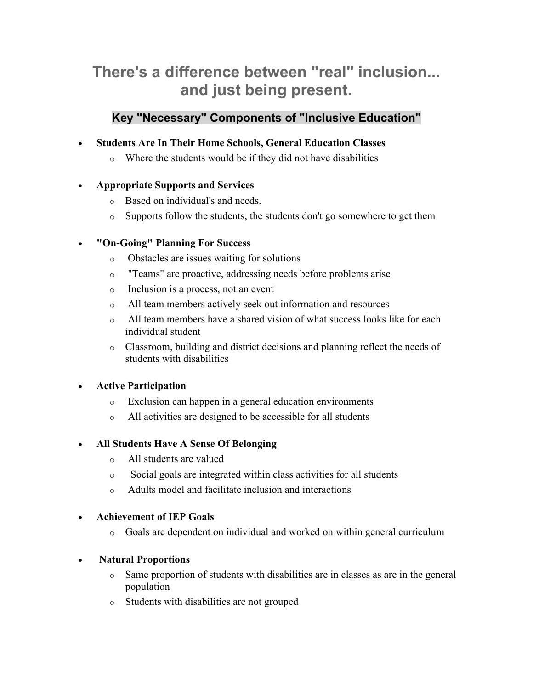# **There's a difference between "real" inclusion... and just being present.**

# **Key "Necessary" Components of "Inclusive Education"**

- **Students Are In Their Home Schools, General Education Classes** 
	- o Where the students would be if they did not have disabilities

## • **Appropriate Supports and Services**

- o Based on individual's and needs.
- o Supports follow the students, the students don't go somewhere to get them

# • **"On-Going" Planning For Success**

- o Obstacles are issues waiting for solutions
- o "Teams" are proactive, addressing needs before problems arise
- o Inclusion is a process, not an event
- o All team members actively seek out information and resources
- o All team members have a shared vision of what success looks like for each individual student
- o Classroom, building and district decisions and planning reflect the needs of students with disabilities

## • **Active Participation**

- o Exclusion can happen in a general education environments
- o All activities are designed to be accessible for all students

## • **All Students Have A Sense Of Belonging**

- o All students are valued
- o Social goals are integrated within class activities for all students
- o Adults model and facilitate inclusion and interactions

## • **Achievement of IEP Goals**

o Goals are dependent on individual and worked on within general curriculum

## • **Natural Proportions**

- <sup>o</sup> Same proportion of students with disabilities are in classes as are in the general population
- o Students with disabilities are not grouped